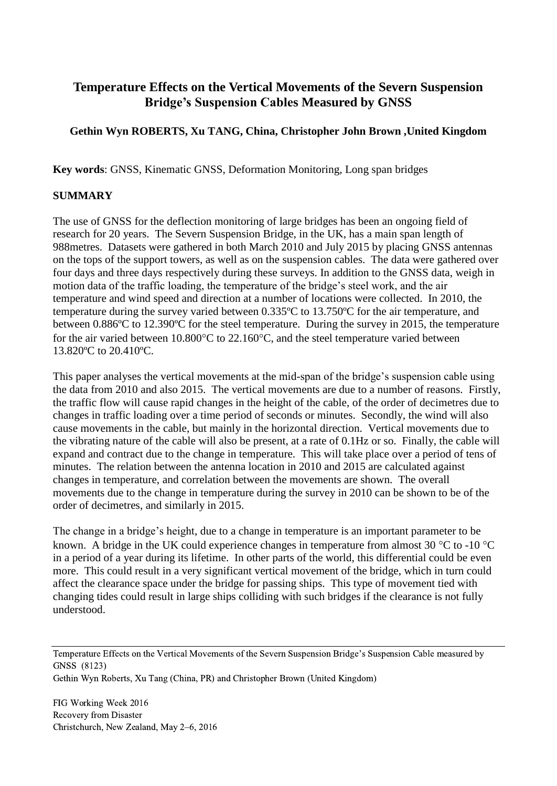# **Temperature Effects on the Vertical Movements of the Severn Suspension Bridge's Suspension Cables Measured by GNSS**

## **Gethin Wyn ROBERTS, Xu TANG, China, Christopher John Brown ,United Kingdom**

**Key words**: GNSS, Kinematic GNSS, Deformation Monitoring, Long span bridges

## **SUMMARY**

The use of GNSS for the deflection monitoring of large bridges has been an ongoing field of research for 20 years. The Severn Suspension Bridge, in the UK, has a main span length of 988metres. Datasets were gathered in both March 2010 and July 2015 by placing GNSS antennas on the tops of the support towers, as well as on the suspension cables. The data were gathered over four days and three days respectively during these surveys. In addition to the GNSS data, weigh in motion data of the traffic loading, the temperature of the bridge's steel work, and the air temperature and wind speed and direction at a number of locations were collected. In 2010, the temperature during the survey varied between 0.335ºC to 13.750ºC for the air temperature, and between 0.886ºC to 12.390ºC for the steel temperature. During the survey in 2015, the temperature for the air varied between  $10.800^{\circ}$ C to  $22.160^{\circ}$ C, and the steel temperature varied between 13.820ºC to 20.410ºC.

This paper analyses the vertical movements at the mid-span of the bridge's suspension cable using the data from 2010 and also 2015. The vertical movements are due to a number of reasons. Firstly, the traffic flow will cause rapid changes in the height of the cable, of the order of decimetres due to changes in traffic loading over a time period of seconds or minutes. Secondly, the wind will also cause movements in the cable, but mainly in the horizontal direction. Vertical movements due to the vibrating nature of the cable will also be present, at a rate of 0.1Hz or so. Finally, the cable will expand and contract due to the change in temperature. This will take place over a period of tens of minutes. The relation between the antenna location in 2010 and 2015 are calculated against changes in temperature, and correlation between the movements are shown. The overall movements due to the change in temperature during the survey in 2010 can be shown to be of the order of decimetres, and similarly in 2015.

The change in a bridge's height, due to a change in temperature is an important parameter to be known. A bridge in the UK could experience changes in temperature from almost 30  $\degree$ C to -10  $\degree$ C in a period of a year during its lifetime. In other parts of the world, this differential could be even more. This could result in a very significant vertical movement of the bridge, which in turn could affect the clearance space under the bridge for passing ships. This type of movement tied with changing tides could result in large ships colliding with such bridges if the clearance is not fully understood.

Temperature Effects on the Vertical Movements of the Severn Suspension Bridge's Suspension Cable measured by GNSS (8123)

Gethin Wyn Roberts, Xu Tang (China, PR) and Christopher Brown (United Kingdom)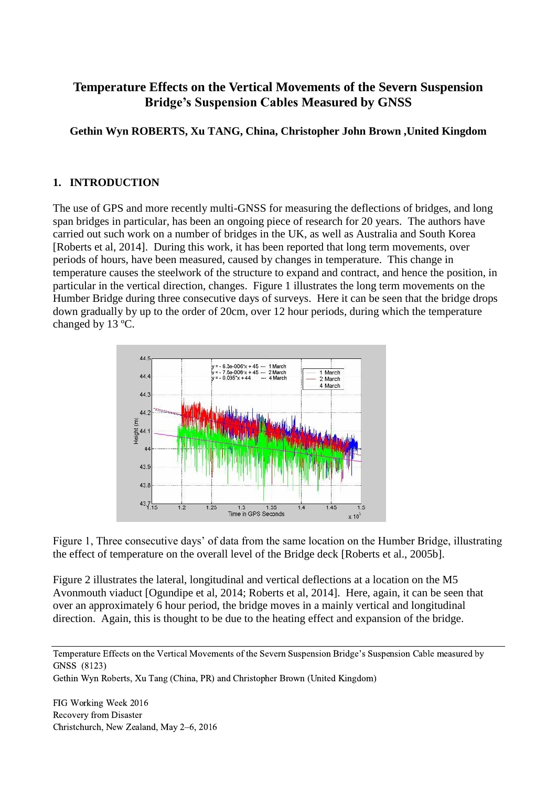# **Temperature Effects on the Vertical Movements of the Severn Suspension Bridge's Suspension Cables Measured by GNSS**

**Gethin Wyn ROBERTS, Xu TANG, China, Christopher John Brown ,United Kingdom**

## **1. INTRODUCTION**

The use of GPS and more recently multi-GNSS for measuring the deflections of bridges, and long span bridges in particular, has been an ongoing piece of research for 20 years. The authors have carried out such work on a number of bridges in the UK, as well as Australia and South Korea [Roberts et al, 2014]. During this work, it has been reported that long term movements, over periods of hours, have been measured, caused by changes in temperature. This change in temperature causes the steelwork of the structure to expand and contract, and hence the position, in particular in the vertical direction, changes. Figure 1 illustrates the long term movements on the Humber Bridge during three consecutive days of surveys. Here it can be seen that the bridge drops down gradually by up to the order of 20cm, over 12 hour periods, during which the temperature changed by 13 ºC.



Figure 1, Three consecutive days' of data from the same location on the Humber Bridge, illustrating the effect of temperature on the overall level of the Bridge deck [Roberts et al., 2005b].

Figure 2 illustrates the lateral, longitudinal and vertical deflections at a location on the M5 Avonmouth viaduct [Ogundipe et al, 2014; Roberts et al, 2014]. Here, again, it can be seen that over an approximately 6 hour period, the bridge moves in a mainly vertical and longitudinal direction. Again, this is thought to be due to the heating effect and expansion of the bridge.

Temperature Effects on the Vertical Movements of the Severn Suspension Bridge's Suspension Cable measured by GNSS (8123)

Gethin Wyn Roberts, Xu Tang (China, PR) and Christopher Brown (United Kingdom)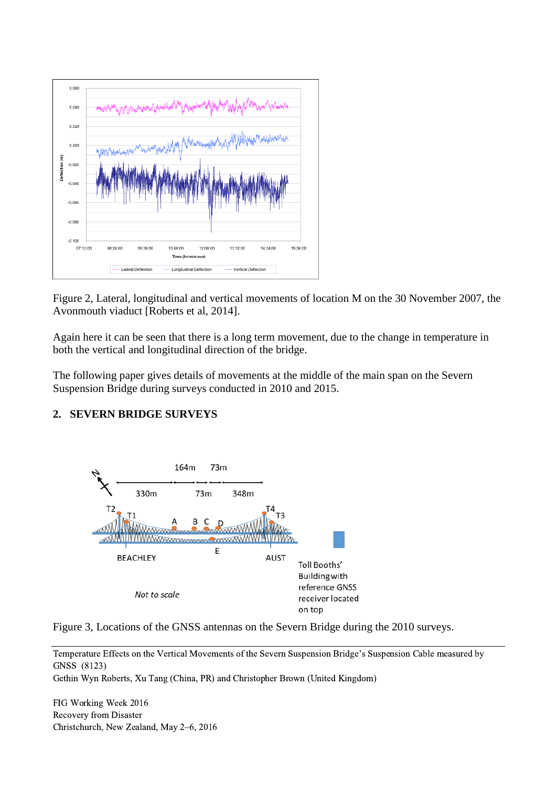

Figure 2, Lateral, longitudinal and vertical movements of location M on the 30 November 2007, the Avonmouth viaduct [Roberts et al, 2014].

Again here it can be seen that there is a long term movement, due to the change in temperature in both the vertical and longitudinal direction of the bridge.

The following paper gives details of movements at the middle of the main span on the Severn Suspension Bridge during surveys conducted in 2010 and 2015.

### **2. SEVERN BRIDGE SURVEYS**



Figure 3, Locations of the GNSS antennas on the Severn Bridge during the 2010 surveys.

Temperature Effects on the Vertical Movements of the Severn Suspension Bridge's Suspension Cable measured by GNSS (8123)

Gethin Wyn Roberts, Xu Tang (China, PR) and Christopher Brown (United Kingdom)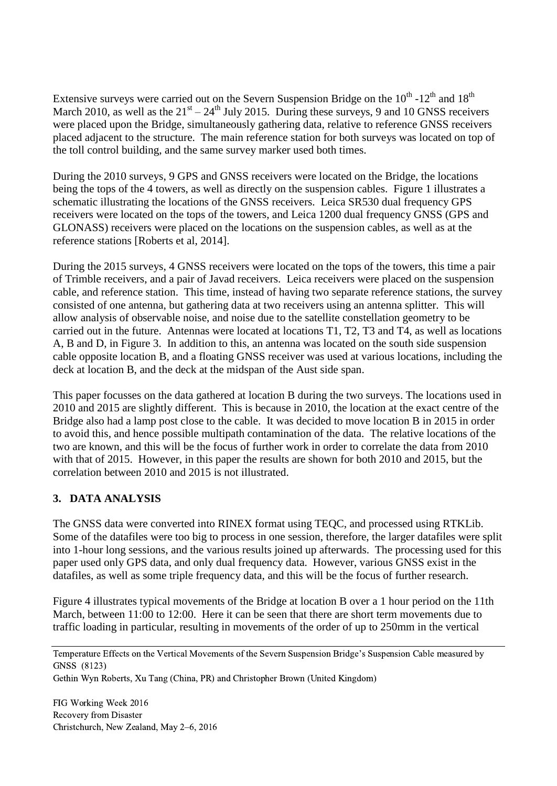Extensive surveys were carried out on the Severn Suspension Bridge on the  $10^{th}$  - $12^{th}$  and  $18^{th}$ March 2010, as well as the  $21<sup>st</sup> - 24<sup>th</sup>$  July 2015. During these surveys, 9 and 10 GNSS receivers were placed upon the Bridge, simultaneously gathering data, relative to reference GNSS receivers placed adjacent to the structure. The main reference station for both surveys was located on top of the toll control building, and the same survey marker used both times.

During the 2010 surveys, 9 GPS and GNSS receivers were located on the Bridge, the locations being the tops of the 4 towers, as well as directly on the suspension cables. Figure 1 illustrates a schematic illustrating the locations of the GNSS receivers. Leica SR530 dual frequency GPS receivers were located on the tops of the towers, and Leica 1200 dual frequency GNSS (GPS and GLONASS) receivers were placed on the locations on the suspension cables, as well as at the reference stations [Roberts et al, 2014].

During the 2015 surveys, 4 GNSS receivers were located on the tops of the towers, this time a pair of Trimble receivers, and a pair of Javad receivers. Leica receivers were placed on the suspension cable, and reference station. This time, instead of having two separate reference stations, the survey consisted of one antenna, but gathering data at two receivers using an antenna splitter. This will allow analysis of observable noise, and noise due to the satellite constellation geometry to be carried out in the future. Antennas were located at locations T1, T2, T3 and T4, as well as locations A, B and D, in Figure 3. In addition to this, an antenna was located on the south side suspension cable opposite location B, and a floating GNSS receiver was used at various locations, including the deck at location B, and the deck at the midspan of the Aust side span.

This paper focusses on the data gathered at location B during the two surveys. The locations used in 2010 and 2015 are slightly different. This is because in 2010, the location at the exact centre of the Bridge also had a lamp post close to the cable. It was decided to move location B in 2015 in order to avoid this, and hence possible multipath contamination of the data. The relative locations of the two are known, and this will be the focus of further work in order to correlate the data from 2010 with that of 2015. However, in this paper the results are shown for both 2010 and 2015, but the correlation between 2010 and 2015 is not illustrated.

## **3. DATA ANALYSIS**

The GNSS data were converted into RINEX format using TEQC, and processed using RTKLib. Some of the datafiles were too big to process in one session, therefore, the larger datafiles were split into 1-hour long sessions, and the various results joined up afterwards. The processing used for this paper used only GPS data, and only dual frequency data. However, various GNSS exist in the datafiles, as well as some triple frequency data, and this will be the focus of further research.

Figure 4 illustrates typical movements of the Bridge at location B over a 1 hour period on the 11th March, between 11:00 to 12:00. Here it can be seen that there are short term movements due to traffic loading in particular, resulting in movements of the order of up to 250mm in the vertical

Temperature Effects on the Vertical Movements of the Severn Suspension Bridge's Suspension Cable measured by GNSS (8123)

Gethin Wyn Roberts, Xu Tang (China, PR) and Christopher Brown (United Kingdom)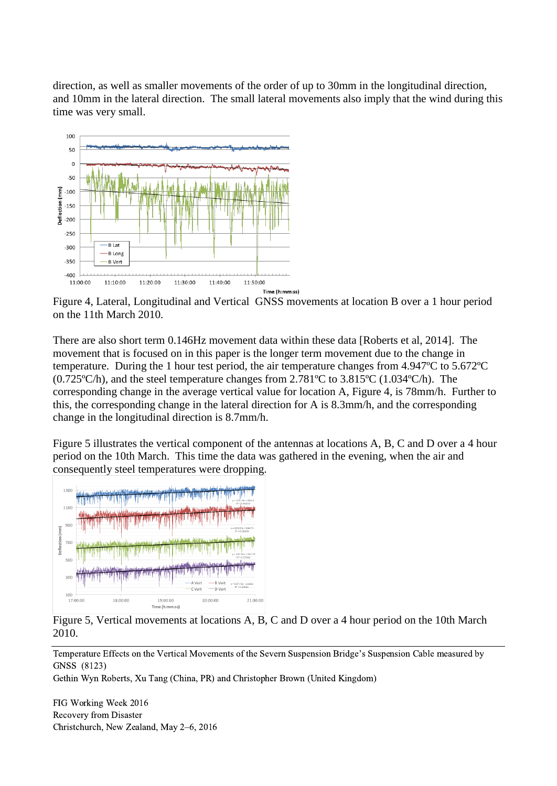direction, as well as smaller movements of the order of up to 30mm in the longitudinal direction, and 10mm in the lateral direction. The small lateral movements also imply that the wind during this time was very small.



Figure 4, Lateral, Longitudinal and Vertical GNSS movements at location B over a 1 hour period on the 11th March 2010.

There are also short term 0.146Hz movement data within these data [Roberts et al, 2014]. The movement that is focused on in this paper is the longer term movement due to the change in temperature. During the 1 hour test period, the air temperature changes from 4.947ºC to 5.672ºC (0.725ºC/h), and the steel temperature changes from 2.781ºC to 3.815ºC (1.034ºC/h). The corresponding change in the average vertical value for location A, Figure 4, is 78mm/h. Further to this, the corresponding change in the lateral direction for A is 8.3mm/h, and the corresponding change in the longitudinal direction is 8.7mm/h.

Figure 5 illustrates the vertical component of the antennas at locations A, B, C and D over a 4 hour period on the 10th March. This time the data was gathered in the evening, when the air and consequently steel temperatures were dropping.



Figure 5, Vertical movements at locations A, B, C and D over a 4 hour period on the 10th March 2010.

Temperature Effects on the Vertical Movements of the Severn Suspension Bridge's Suspension Cable measured by GNSS (8123)

Gethin Wyn Roberts, Xu Tang (China, PR) and Christopher Brown (United Kingdom)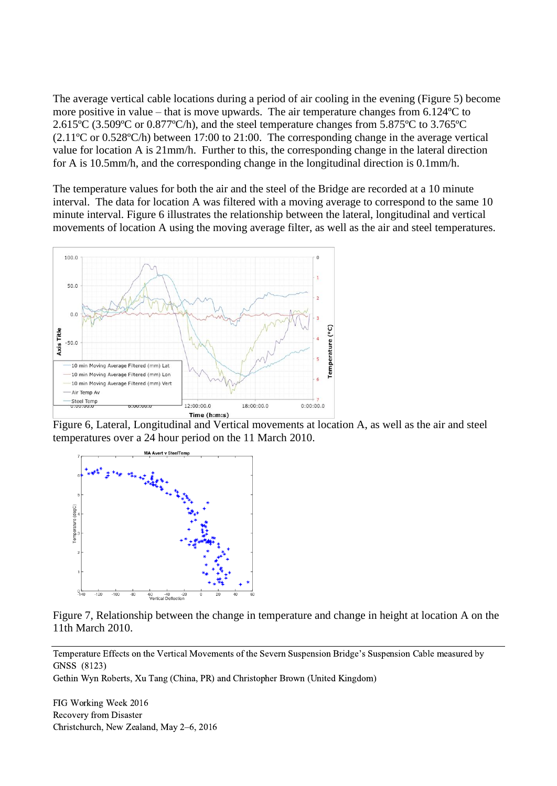The average vertical cable locations during a period of air cooling in the evening (Figure 5) become more positive in value – that is move upwards. The air temperature changes from 6.124ºC to 2.615ºC (3.509ºC or 0.877ºC/h), and the steel temperature changes from 5.875ºC to 3.765ºC (2.11ºC or 0.528ºC/h) between 17:00 to 21:00. The corresponding change in the average vertical value for location A is 21mm/h. Further to this, the corresponding change in the lateral direction for A is 10.5mm/h, and the corresponding change in the longitudinal direction is 0.1mm/h.

The temperature values for both the air and the steel of the Bridge are recorded at a 10 minute interval. The data for location A was filtered with a moving average to correspond to the same 10 minute interval. Figure 6 illustrates the relationship between the lateral, longitudinal and vertical movements of location A using the moving average filter, as well as the air and steel temperatures.



Figure 6, Lateral, Longitudinal and Vertical movements at location A, as well as the air and steel temperatures over a 24 hour period on the 11 March 2010.



Figure 7, Relationship between the change in temperature and change in height at location A on the 11th March 2010.

Temperature Effects on the Vertical Movements of the Severn Suspension Bridge's Suspension Cable measured by GNSS (8123)

Gethin Wyn Roberts, Xu Tang (China, PR) and Christopher Brown (United Kingdom)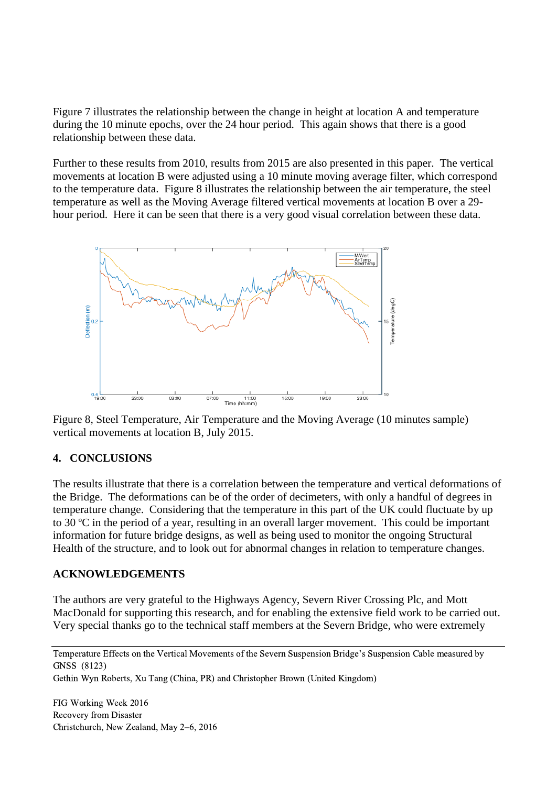Figure 7 illustrates the relationship between the change in height at location A and temperature during the 10 minute epochs, over the 24 hour period. This again shows that there is a good relationship between these data.

Further to these results from 2010, results from 2015 are also presented in this paper. The vertical movements at location B were adjusted using a 10 minute moving average filter, which correspond to the temperature data. Figure 8 illustrates the relationship between the air temperature, the steel temperature as well as the Moving Average filtered vertical movements at location B over a 29 hour period. Here it can be seen that there is a very good visual correlation between these data.



Figure 8, Steel Temperature, Air Temperature and the Moving Average (10 minutes sample) vertical movements at location B, July 2015.

### **4. CONCLUSIONS**

The results illustrate that there is a correlation between the temperature and vertical deformations of the Bridge. The deformations can be of the order of decimeters, with only a handful of degrees in temperature change. Considering that the temperature in this part of the UK could fluctuate by up to 30 ºC in the period of a year, resulting in an overall larger movement. This could be important information for future bridge designs, as well as being used to monitor the ongoing Structural Health of the structure, and to look out for abnormal changes in relation to temperature changes.

#### **ACKNOWLEDGEMENTS**

The authors are very grateful to the Highways Agency, Severn River Crossing Plc, and Mott MacDonald for supporting this research, and for enabling the extensive field work to be carried out. Very special thanks go to the technical staff members at the Severn Bridge, who were extremely

Temperature Effects on the Vertical Movements of the Severn Suspension Bridge's Suspension Cable measured by GNSS (8123)

Gethin Wyn Roberts, Xu Tang (China, PR) and Christopher Brown (United Kingdom)